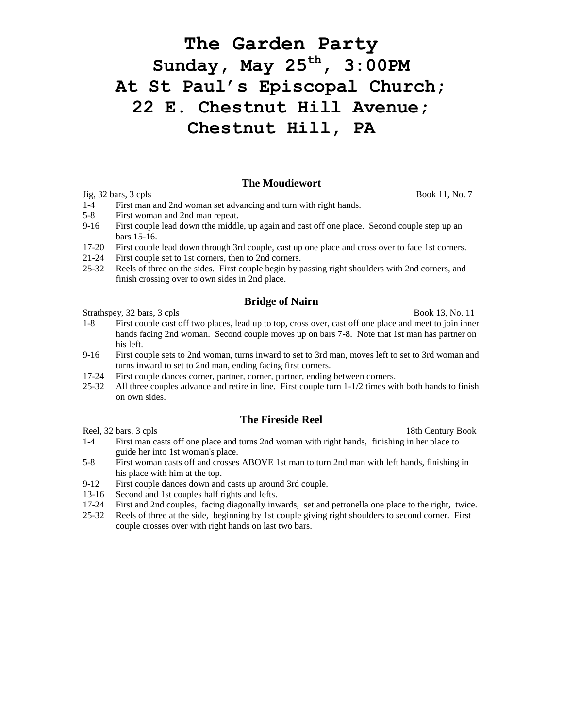# **The Garden Party Sunday, May 25 th , 3:00PM At St Paul's Episcopal Church; 22 E. Chestnut Hill Avenue; Chestnut Hill, PA**

#### **The Moudiewort**

 $Jig, 32 \text{ bars}, 3 \text{ cpls}$  Book 11, No. 7

- 1-4 First man and 2nd woman set advancing and turn with right hands.
- 5-8 First woman and 2nd man repeat.
- 9-16 First couple lead down tthe middle, up again and cast off one place. Second couple step up an bars 15-16.
- 17-20 First couple lead down through 3rd couple, cast up one place and cross over to face 1st corners.
- 21-24 First couple set to 1st corners, then to 2nd corners.
- 25-32 Reels of three on the sides. First couple begin by passing right shoulders with 2nd corners, and finish crossing over to own sides in 2nd place.

#### **Bridge of Nairn**

Strathspey, 32 bars, 3 cpls Book 13, No. 11

- 1-8 First couple cast off two places, lead up to top, cross over, cast off one place and meet to join inner hands facing 2nd woman. Second couple moves up on bars 7-8. Note that 1st man has partner on his left.
- 9-16 First couple sets to 2nd woman, turns inward to set to 3rd man, moves left to set to 3rd woman and turns inward to set to 2nd man, ending facing first corners.
- 17-24 First couple dances corner, partner, corner, partner, ending between corners.
- 25-32 All three couples advance and retire in line. First couple turn 1-1/2 times with both hands to finish on own sides.

# **The Fireside Reel**

Reel, 32 bars, 3 cpls 18th Century Book

- 1-4 First man casts off one place and turns 2nd woman with right hands, finishing in her place to guide her into 1st woman's place.
- 5-8 First woman casts off and crosses ABOVE 1st man to turn 2nd man with left hands, finishing in his place with him at the top.
- 9-12 First couple dances down and casts up around 3rd couple.
- 13-16 Second and 1st couples half rights and lefts.
- 17-24 First and 2nd couples, facing diagonally inwards, set and petronella one place to the right, twice.
- 25-32 Reels of three at the side, beginning by 1st couple giving right shoulders to second corner. First couple crosses over with right hands on last two bars.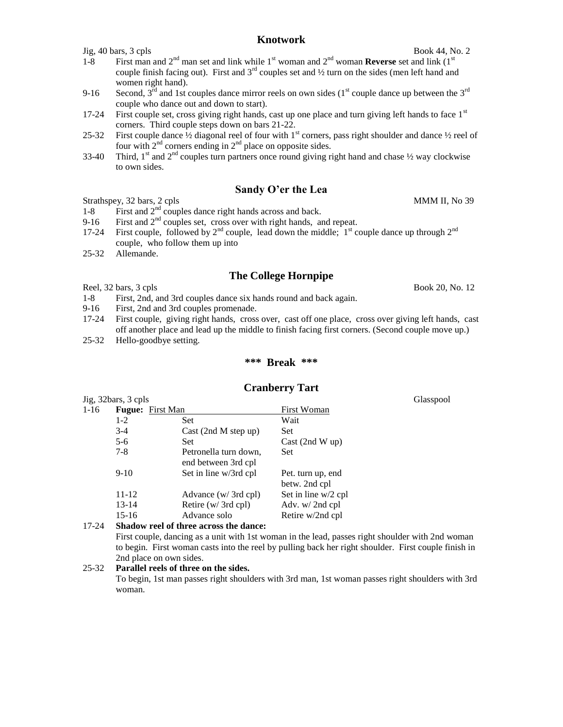# **Knotwork**

- 1-8 First man and  $2<sup>nd</sup>$  man set and link while 1<sup>st</sup> woman and  $2<sup>nd</sup>$  woman **Reverse** set and link  $(1<sup>st</sup>$ couple finish facing out). First and  $3<sup>rd</sup>$  couples set and  $\frac{1}{2}$  turn on the sides (men left hand and women right hand).
- 9-16 Second,  $3^{rd}$  and 1st couples dance mirror reels on own sides ( $1^{st}$  couple dance up between the  $3^{rd}$ couple who dance out and down to start).
- 17-24 First couple set, cross giving right hands, cast up one place and turn giving left hands to face  $1<sup>st</sup>$ corners. Third couple steps down on bars 21-22.
- 25-32 First couple dance  $\frac{1}{2}$  diagonal reel of four with 1<sup>st</sup> corners, pass right shoulder and dance  $\frac{1}{2}$  reel of four with  $2<sup>nd</sup>$  corners ending in  $2<sup>nd</sup>$  place on opposite sides.
- 33-40 Third,  $1^{\text{st}}$  and  $2^{\text{nd}}$  couples turn partners once round giving right hand and chase  $\frac{1}{2}$  way clockwise to own sides.

# **Sandy O'er the Lea**

# Strathspey, 32 bars, 2 cpls MMM II, No 39

- 1-8 First and  $2<sup>nd</sup>$  couples dance right hands across and back.
- 9-16 First and  $2<sup>nd</sup>$  couples set, cross over with right hands, and repeat.
- 17-24 First couple, followed by  $2^{nd}$  couple, lead down the middle;  $1^{st}$  couple dance up through  $2^{nd}$ couple, who follow them up into
- 25-32 Allemande.

# **The College Hornpipe**

Reel,  $32 \text{ bars}$ ,  $3 \text{ cpls}$  Book 20, No. 12

- 1-8 First, 2nd, and 3rd couples dance six hands round and back again.
- 9-16 First, 2nd and 3rd couples promenade.
- 17-24 First couple, giving right hands, cross over, cast off one place, cross over giving left hands, cast off another place and lead up the middle to finish facing first corners. (Second couple move up.)
- 25-32 Hello-goodbye setting.

#### **\*\*\* Break \*\*\***

# **Cranberry Tart**

Jig, 32bars, 3 cpls Glasspool 1-16 **Fugue:** First Man First Woman 1-2 Set Wait 3-4 Cast (2nd M step up) Set 5-6 Set Set Cast (2nd W up) 7-8 Petronella turn down, Set end between 3rd cpl 9-10 Set in line w/3rd cpl Pet. turn up, end betw. 2nd cpl 11-12 Advance (w/ 3rd cpl) Set in line w/2 cpl 13-14 Retire (w/ 3rd cpl) Adv. w/ 2nd cpl 15-16 Advance solo Retire w/2nd cpl

#### 17-24 **Shadow reel of three across the dance:**

First couple, dancing as a unit with 1st woman in the lead, passes right shoulder with 2nd woman to begin. First woman casts into the reel by pulling back her right shoulder. First couple finish in 2nd place on own sides.

#### 25-32 **Parallel reels of three on the sides.**

To begin, 1st man passes right shoulders with 3rd man, 1st woman passes right shoulders with 3rd woman.

 $Jig, 40 \text{ bars}, 3 \text{ cpls}$  Book 44, No. 2